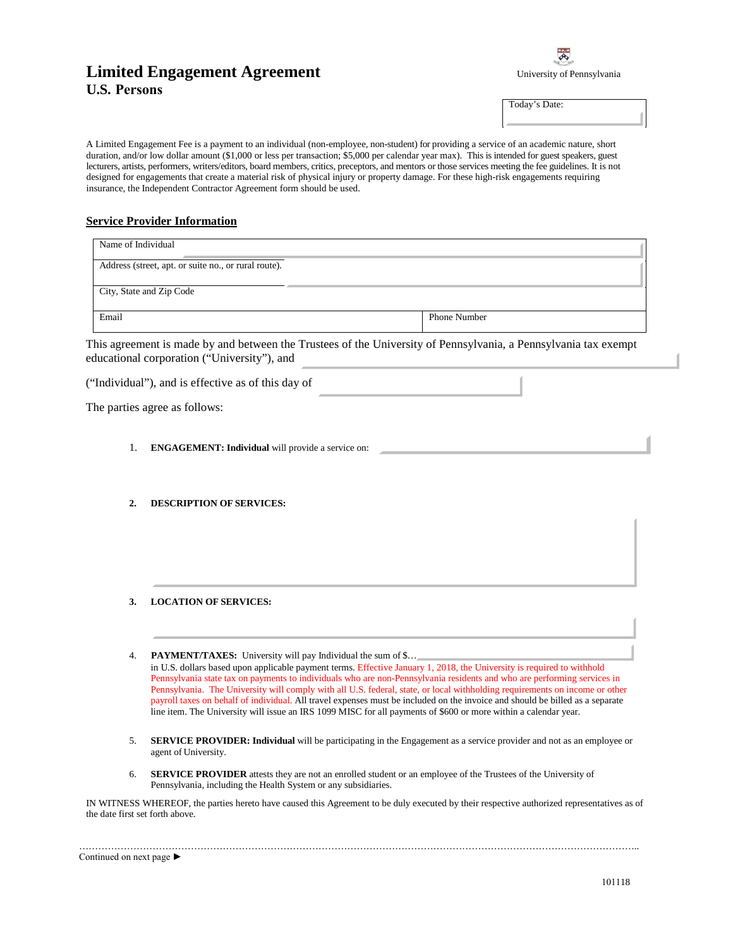## **Limited Engagement Agreement U.S. Persons**

| University of Pennsylvania |
|----------------------------|

Today's Date:

A Limited Engagement Fee is a payment to an individual (non-employee, non-student) for providing a service of an academic nature, short duration, and/or low dollar amount (\$1,000 or less per transaction; \$5,000 per calendar year max). This is intended for guest speakers, guest lecturers, artists, performers, writers/editors, board members, critics, preceptors, and mentors or those services meeting the fee guidelines. It is not designed for engagements that create a material risk of physical injury or property damage. For these high-risk engagements requiring insurance, the Independent Contractor Agreement form should be used.

## **Service Provider Information**

| Name of Individual                                   |                     |
|------------------------------------------------------|---------------------|
| Address (street, apt. or suite no., or rural route). |                     |
| City, State and Zip Code                             |                     |
| Email                                                | <b>Phone Number</b> |

This agreement is made by and between the Trustees of the University of Pennsylvania, a Pennsylvania tax exempt educational corporation ("University"), and

|  |  | The parties agree as follows: |
|--|--|-------------------------------|
|--|--|-------------------------------|

- 1. **ENGAGEMENT: Individual** will provide a service on:
- **2. DESCRIPTION OF SERVICES:**
- **3. LOCATION OF SERVICES:**
- …………………………………………… 4. **PAYMENT/TAXES:** University will pay Individual the sum of \$… in U.S. dollars based upon applicable payment terms. Effective January 1, 2018, the University is required to withhold Pennsylvania state tax on payments to individuals who are non-Pennsylvania residents and who are performing services in Pennsylvania. The University will comply with all U.S. federal, state, or local withholding requirements on income or other payroll taxes on behalf of individual. All travel expenses must be included on the invoice and should be billed as a separate line item. The University will issue an IRS 1099 MISC for all payments of \$600 or more within a calendar year.
- 5. **SERVICE PROVIDER: Individual** will be participating in the Engagement as a service provider and not as an employee or agent of University.
- 6. **SERVICE PROVIDER** attests they are not an enrolled student or an employee of the Trustees of the University of Pennsylvania, including the Health System or any subsidiaries.

IN WITNESS WHEREOF, the parties hereto have caused this Agreement to be duly executed by their respective authorized representatives as of the date first set forth above.